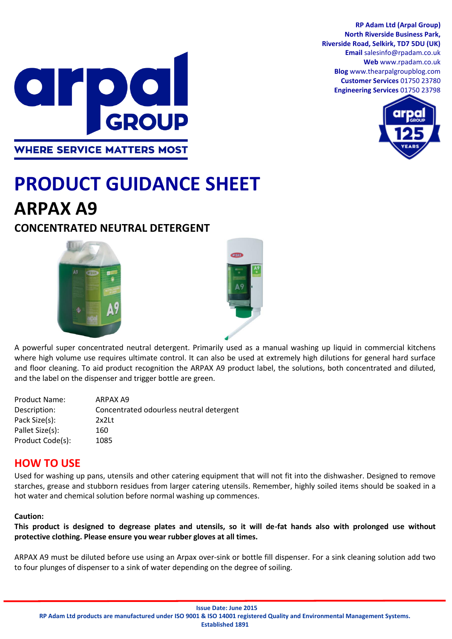**RP Adam Ltd (Arpal Group) North Riverside Business Park, Riverside Road, Selkirk, TD7 5DU (UK) Email** salesinfo@rpadam.co.uk **Web** www.rpadam.co.uk **Blog** www.thearpalgroupblog.com **Customer Services** 01750 23780 **Engineering Services** 01750 23798





# **PRODUCT GUIDANCE SHEET ARPAX A9**

# **CONCENTRATED NEUTRAL DETERGENT**





A powerful super concentrated neutral detergent. Primarily used as a manual washing up liquid in commercial kitchens where high volume use requires ultimate control. It can also be used at extremely high dilutions for general hard surface and floor cleaning. To aid product recognition the ARPAX A9 product label, the solutions, both concentrated and diluted, and the label on the dispenser and trigger bottle are green.

| <b>Product Name:</b> | ARPAX A9                                 |
|----------------------|------------------------------------------|
| Description:         | Concentrated odourless neutral detergent |
| Pack Size(s):        | $2x2$ Lt                                 |
| Pallet Size(s):      | 160                                      |
| Product Code(s):     | 1085                                     |
|                      |                                          |

## **HOW TO USE**

Used for washing up pans, utensils and other catering equipment that will not fit into the dishwasher. Designed to remove starches, grease and stubborn residues from larger catering utensils. Remember, highly soiled items should be soaked in a hot water and chemical solution before normal washing up commences.

#### **Caution:**

**This product is designed to degrease plates and utensils, so it will de-fat hands also with prolonged use without protective clothing. Please ensure you wear rubber gloves at all times.**

ARPAX A9 must be diluted before use using an Arpax over-sink or bottle fill dispenser. For a sink cleaning solution add two to four plunges of dispenser to a sink of water depending on the degree of soiling.